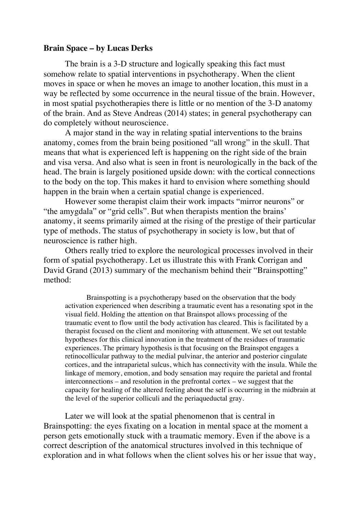#### **Brain Space – by Lucas Derks**

The brain is a 3-D structure and logically speaking this fact must somehow relate to spatial interventions in psychotherapy. When the client moves in space or when he moves an image to another location, this must in a way be reflected by some occurrence in the neural tissue of the brain. However, in most spatial psychotherapies there is little or no mention of the 3-D anatomy of the brain. And as Steve Andreas (2014) states; in general psychotherapy can do completely without neuroscience.

A major stand in the way in relating spatial interventions to the brains anatomy, comes from the brain being positioned "all wrong" in the skull. That means that what is experienced left is happening on the right side of the brain and visa versa. And also what is seen in front is neurologically in the back of the head. The brain is largely positioned upside down: with the cortical connections to the body on the top. This makes it hard to envision where something should happen in the brain when a certain spatial change is experienced.

However some therapist claim their work impacts "mirror neurons" or "the amygdala" or "grid cells". But when therapists mention the brains' anatomy, it seems primarily aimed at the rising of the prestige of their particular type of methods. The status of psychotherapy in society is low, but that of neuroscience is rather high.

Others really tried to explore the neurological processes involved in their form of spatial psychotherapy. Let us illustrate this with Frank Corrigan and David Grand (2013) summary of the mechanism behind their "Brainspotting" method:

Brainspotting is a psychotherapy based on the observation that the body activation experienced when describing a traumatic event has a resonating spot in the visual field. Holding the attention on that Brainspot allows processing of the traumatic event to flow until the body activation has cleared. This is facilitated by a therapist focused on the client and monitoring with attunement. We set out testable hypotheses for this clinical innovation in the treatment of the residues of traumatic experiences. The primary hypothesis is that focusing on the Brainspot engages a retinocollicular pathway to the medial pulvinar, the anterior and posterior cingulate cortices, and the intraparietal sulcus, which has connectivity with the insula. While the linkage of memory, emotion, and body sensation may require the parietal and frontal interconnections – and resolution in the prefrontal cortex – we suggest that the capacity for healing of the altered feeling about the self is occurring in the midbrain at the level of the superior colliculi and the periaqueductal gray.

Later we will look at the spatial phenomenon that is central in Brainspotting: the eyes fixating on a location in mental space at the moment a person gets emotionally stuck with a traumatic memory. Even if the above is a correct description of the anatomical structures involved in this technique of exploration and in what follows when the client solves his or her issue that way,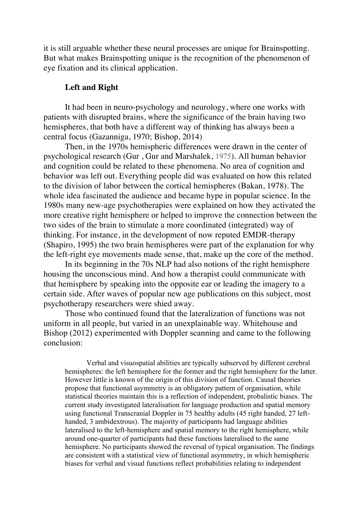it is still arguable whether these neural processes are unique for Brainspotting. But what makes Brainspotting unique is the recognition of the phenomenon of eye fixation and its clinical application.

#### **Left and Right**

It had been in neuro-psychology and neurology, where one works with patients with disrupted brains, where the significance of the brain having two hemispheres, that both have a different way of thinking has always been a central focus (Gazanniga, 1970; Bishop, 2014)

Then, in the 1970s hemispheric differences were drawn in the center of psychological research (Gur , Gur and Marshalek, 1975). All human behavior and cognition could be related to these phenomena. No area of cognition and behavior was left out. Everything people did was evaluated on how this related to the division of labor between the cortical hemispheres (Bakan, 1978). The whole idea fascinated the audience and became hype in popular science. In the 1980s many new-age psychotherapies were explained on how they activated the more creative right hemisphere or helped to improve the connection between the two sides of the brain to stimulate a more coordinated (integrated) way of thinking. For instance, in the development of now reputed EMDR-therapy (Shapiro, 1995) the two brain hemispheres were part of the explanation for why the left-right eye movements made sense, that, make up the core of the method.

In its beginning in the 70s NLP had also notions of the right hemisphere housing the unconscious mind. And how a therapist could communicate with that hemisphere by speaking into the opposite ear or leading the imagery to a certain side. After waves of popular new age publications on this subject, most psychotherapy researchers were shied away.

Those who continued found that the lateralization of functions was not uniform in all people, but varied in an unexplainable way. Whitehouse and Bishop (2012) experimented with Doppler scanning and came to the following conclusion:

Verbal and visuospatial abilities are typically subserved by different cerebral hemispheres: the left hemisphere for the former and the right hemisphere for the latter. However little is known of the origin of this division of function. Causal theories propose that functional asymmetry is an obligatory pattern of organisation, while statistical theories maintain this is a reflection of independent, probalistic biases. The current study investigated lateralisation for language production and spatial memory using functional Transcranial Doppler in 75 healthy adults (45 right handed, 27 lefthanded, 3 ambidextrous). The majority of participants had language abilities lateralised to the left-hemisphere and spatial memory to the right hemisphere, while around one-quarter of participants had these functions lateralised to the same hemisphere. No participants showed the reversal of typical organisation. The findings are consistent with a statistical view of functional asymmetry, in which hemispheric biases for verbal and visual functions reflect probabilities relating to independent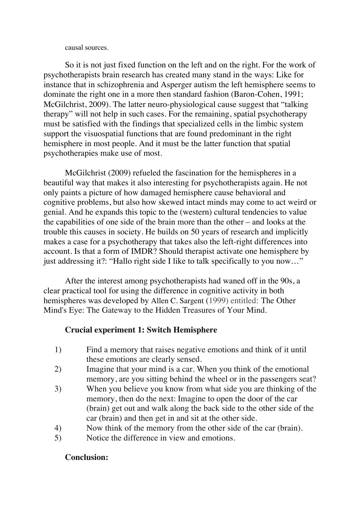causal sources.

So it is not just fixed function on the left and on the right. For the work of psychotherapists brain research has created many stand in the ways: Like for instance that in schizophrenia and Asperger autism the left hemisphere seems to dominate the right one in a more then standard fashion (Baron-Cohen, 1991; McGilchrist, 2009). The latter neuro-physiological cause suggest that "talking therapy" will not help in such cases. For the remaining, spatial psychotherapy must be satisfied with the findings that specialized cells in the limbic system support the visuospatial functions that are found predominant in the right hemisphere in most people. And it must be the latter function that spatial psychotherapies make use of most.

McGilchrist (2009) refueled the fascination for the hemispheres in a beautiful way that makes it also interesting for psychotherapists again. He not only paints a picture of how damaged hemisphere cause behavioral and cognitive problems, but also how skewed intact minds may come to act weird or genial. And he expands this topic to the (western) cultural tendencies to value the capabilities of one side of the brain more than the other – and looks at the trouble this causes in society. He builds on 50 years of research and implicitly makes a case for a psychotherapy that takes also the left-right differences into account. Is that a form of IMDR? Should therapist activate one hemisphere by just addressing it?: "Hallo right side I like to talk specifically to you now…"

After the interest among psychotherapists had waned off in the 90s, a clear practical tool for using the difference in cognitive activity in both hemispheres was developed by Allen C. Sargent (1999) entitled: The Other Mind's Eye: The Gateway to the Hidden Treasures of Your Mind.

# **Crucial experiment 1: Switch Hemisphere**

- 1) Find a memory that raises negative emotions and think of it until these emotions are clearly sensed.
- 2) Imagine that your mind is a car. When you think of the emotional memory, are you sitting behind the wheel or in the passengers seat?
- 3) When you believe you know from what side you are thinking of the memory, then do the next: Imagine to open the door of the car (brain) get out and walk along the back side to the other side of the car (brain) and then get in and sit at the other side.
- 4) Now think of the memory from the other side of the car (brain).
- 5) Notice the difference in view and emotions.

# **Conclusion:**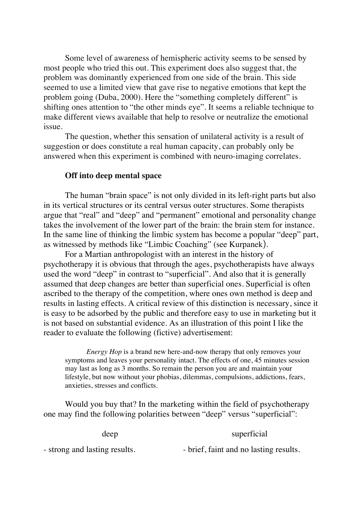Some level of awareness of hemispheric activity seems to be sensed by most people who tried this out. This experiment does also suggest that, the problem was dominantly experienced from one side of the brain. This side seemed to use a limited view that gave rise to negative emotions that kept the problem going (Duba, 2000). Here the "something completely different" is shifting ones attention to "the other minds eye". It seems a reliable technique to make different views available that help to resolve or neutralize the emotional issue.

The question, whether this sensation of unilateral activity is a result of suggestion or does constitute a real human capacity, can probably only be answered when this experiment is combined with neuro-imaging correlates.

### **Off into deep mental space**

The human "brain space" is not only divided in its left-right parts but also in its vertical structures or its central versus outer structures. Some therapists argue that "real" and "deep" and "permanent" emotional and personality change takes the involvement of the lower part of the brain: the brain stem for instance. In the same line of thinking the limbic system has become a popular "deep" part, as witnessed by methods like "Limbic Coaching" (see Kurpanek).

For a Martian anthropologist with an interest in the history of psychotherapy it is obvious that through the ages, psychotherapists have always used the word "deep" in contrast to "superficial". And also that it is generally assumed that deep changes are better than superficial ones. Superficial is often ascribed to the therapy of the competition, where ones own method is deep and results in lasting effects. A critical review of this distinction is necessary, since it is easy to be adsorbed by the public and therefore easy to use in marketing but it is not based on substantial evidence. As an illustration of this point I like the reader to evaluate the following (fictive) advertisement:

*Energy Hop* is a brand new here-and-now therapy that only removes your symptoms and leaves your personality intact. The effects of one, 45 minutes session may last as long as 3 months. So remain the person you are and maintain your lifestyle, but now without your phobias, dilemmas, compulsions, addictions, fears, anxieties, stresses and conflicts.

Would you buy that? In the marketing within the field of psychotherapy one may find the following polarities between "deep" versus "superficial":

| deep                          | superficial                            |
|-------------------------------|----------------------------------------|
| - strong and lasting results. | - brief, faint and no lasting results. |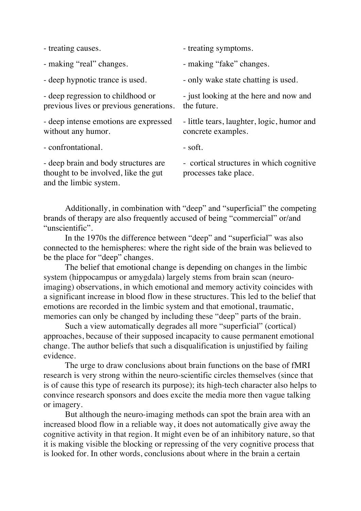| - treating causes.                                                                                     | - treating symptoms.                                              |
|--------------------------------------------------------------------------------------------------------|-------------------------------------------------------------------|
| - making "real" changes.                                                                               | - making "fake" changes.                                          |
| - deep hypnotic trance is used.                                                                        | - only wake state chatting is used.                               |
| - deep regression to childhood or<br>previous lives or previous generations.                           | - just looking at the here and now and<br>the future.             |
| - deep intense emotions are expressed<br>without any humor.                                            | - little tears, laughter, logic, humor and<br>concrete examples.  |
| - confrontational.                                                                                     | - soft.                                                           |
| - deep brain and body structures are<br>thought to be involved, like the gut<br>and the limbic system. | - cortical structures in which cognitive<br>processes take place. |

Additionally, in combination with "deep" and "superficial" the competing brands of therapy are also frequently accused of being "commercial" or/and "unscientific".

In the 1970s the difference between "deep" and "superficial" was also connected to the hemispheres: where the right side of the brain was believed to be the place for "deep" changes.

The belief that emotional change is depending on changes in the limbic system (hippocampus or amygdala) largely stems from brain scan (neuroimaging) observations, in which emotional and memory activity coincides with a significant increase in blood flow in these structures. This led to the belief that emotions are recorded in the limbic system and that emotional, traumatic, memories can only be changed by including these "deep" parts of the brain.

Such a view automatically degrades all more "superficial" (cortical) approaches, because of their supposed incapacity to cause permanent emotional change. The author beliefs that such a disqualification is unjustified by failing evidence.

The urge to draw conclusions about brain functions on the base of fMRI research is very strong within the neuro-scientific circles themselves (since that is of cause this type of research its purpose); its high-tech character also helps to convince research sponsors and does excite the media more then vague talking or imagery.

But although the neuro-imaging methods can spot the brain area with an increased blood flow in a reliable way, it does not automatically give away the cognitive activity in that region. It might even be of an inhibitory nature, so that it is making visible the blocking or repressing of the very cognitive process that is looked for. In other words, conclusions about where in the brain a certain